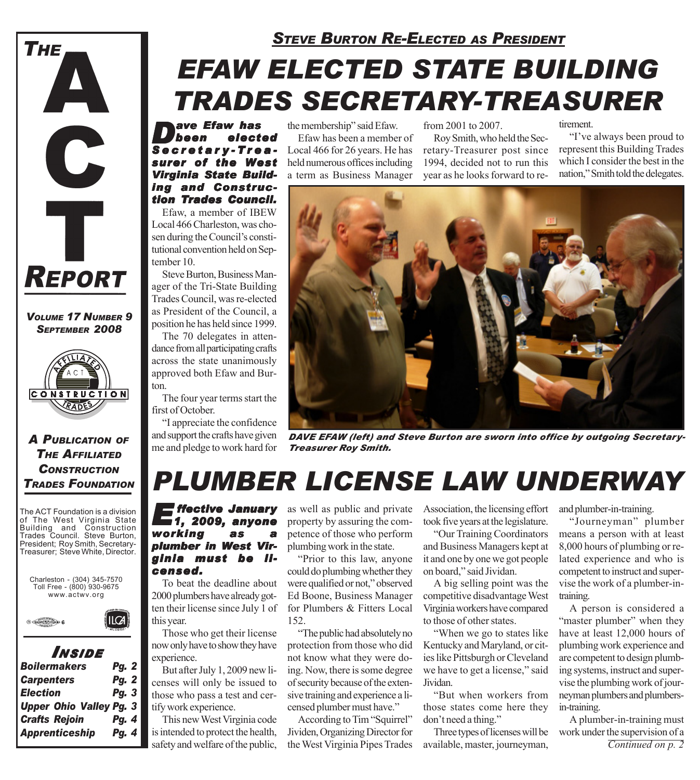

*VOLUME 17 NUMBER 9 SEPTEMBER 2008*



*A PUBLICATION OF THE AFFILIATED CONSTRUCTION TRADES FOUNDATION*

The ACT Foundation is a division of The West Virginia State Building and Construction Trades Council. Steve Burton, President; Roy Smith, Secretary-Treasurer; Steve White, Director.



 $ILCA$ 



#### *I NSIDE Boilermakers Pg. 2 Carpenters Pg. 2 Election Pg. 3*

| EIECUON                        |  | rg. J |  |
|--------------------------------|--|-------|--|
| <b>Upper Ohio Valley Pg. 3</b> |  |       |  |
| <b>Crafts Rejoin</b>           |  | Pg. 4 |  |
| Apprenticeship                 |  | Pg. 4 |  |

### *STEVE BURTON RE-ELECTED AS PRESIDENT*

# *EFAW ELECTED STATE BUILDING TRADES SECRETARY-TREASURER*

*Dave Efaw has been elected Secr etar y-T r easurer of the West Virginia State Build- Virginia Building and Construc- ing and Construction Trades Council. ades Council.*

Efaw, a member of IBEW Local 466 Charleston, was chosen during the Council's constitutional convention held on September 10.

Steve Burton, Business Manager of the Tri-State Building Trades Council, was re-elected as President of the Council, a position he has held since 1999.

The 70 delegates in attendance from all participating crafts across the state unanimously approved both Efaw and Burton.

The four year terms start the first of October.

"I appreciate the confidence and support the crafts have given me and pledge to work hard for

the membership" said Efaw. Efaw has been a member of Local 466 for 26 years. He has held numerous offices including a term as Business Manager from 2001 to 2007.

Roy Smith, who held the Secretary-Treasurer post since 1994, decided not to run this year as he looks forward to retirement.

"I've always been proud to represent this Building Trades which I consider the best in the nation," Smith told the delegates.



*DAVE EFAW (left) and Steve Burton are sworn into office by outgoing Secretary-Treasurer Roy Smith.*

# *PLUMBER LICENSE LAW UNDERWAY*

*Effective January 1, 2009, anyone* working *plumber in West Vir- plumber in West Virginia must be li- ginia must be licensed. censed.*

To beat the deadline about 2000 plumbers have already gotten their license since July 1 of this year.

Those who get their license now only have to show they have experience.

But after July 1, 2009 new licenses will only be issued to those who pass a test and certify work experience.

This new West Virginia code is intended to protect the health, safety and welfare of the public,

as well as public and private property by assuring the competence of those who perform plumbing work in the state.

"Prior to this law, anyone could do plumbing whether they were qualified or not," observed Ed Boone, Business Manager for Plumbers & Fitters Local 152.

"The public had absolutely no protection from those who did not know what they were doing. Now, there is some degree of security because of the extensive training and experience a licensed plumber must have."

According to Tim "Squirrel" Jividen, Organizing Director for the West Virginia Pipes Trades

Association, the licensing effort took five years at the legislature.

"Our Training Coordinators and Business Managers kept at it and one by one we got people on board," said Jividan.

A big selling point was the competitive disadvantage West Virginia workers have compared to those of other states.

"When we go to states like Kentucky and Maryland, or cities like Pittsburgh or Cleveland we have to get a license," said Jividan.

"But when workers from those states come here they don't need a thing."

Three types of licenses will be available, master, journeyman,

and plumber-in-training.

"Journeyman" plumber means a person with at least 8,000 hours of plumbing or related experience and who is competent to instruct and supervise the work of a plumber-intraining.

A person is considered a "master plumber" when they have at least 12,000 hours of plumbing work experience and are competent to design plumbing systems, instruct and supervise the plumbing work of journeyman plumbers and plumbersin-training.

A plumber-in-training must work under the supervision of a *Continued on p. 2*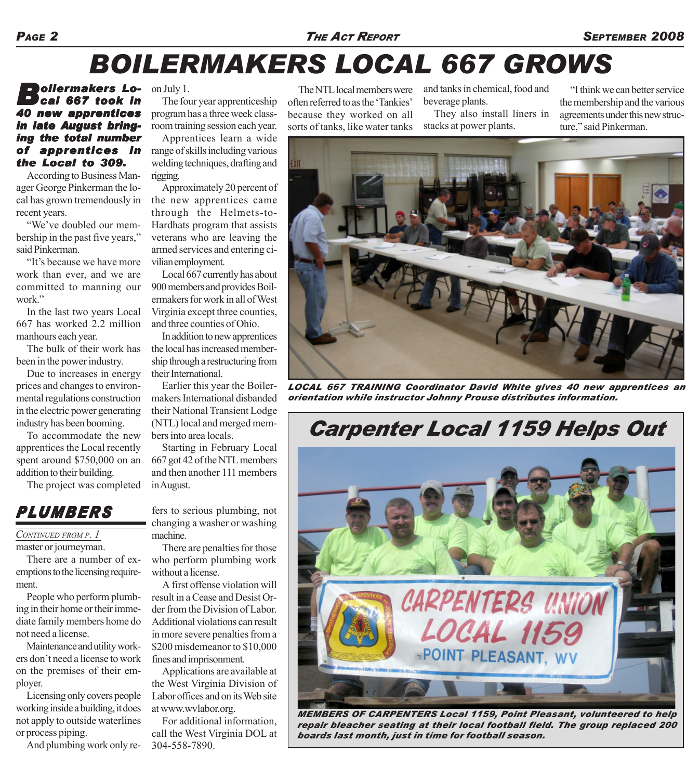## *BOILERMAKERS LOCAL 667 GROWS*

#### *Boilermakers Local 667 took in 40 new apprentices in late August bring- ugust bringing the total number of apprentices in the Local to 309. the Local to 309.*

According to Business Manager George Pinkerman the local has grown tremendously in recent years.

"We've doubled our membership in the past five years," said Pinkerman.

"It's because we have more work than ever, and we are committed to manning our work."

In the last two years Local 667 has worked 2.2 million manhours each year.

The bulk of their work has been in the power industry.

Due to increases in energy prices and changes to environmental regulations construction in the electric power generating industry has been booming.

To accommodate the new apprentices the Local recently spent around \$750,000 on an addition to their building.

The project was completed

### *PLUMBERS*

*CONTINUED FROM P. 1*

master or journeyman.

There are a number of exemptions to the licensing requirement.

People who perform plumbing in their home or their immediate family members home do not need a license.

Maintenance and utility workers don't need a license to work on the premises of their employer.

Licensing only covers people working inside a building, it does not apply to outside waterlines or process piping.

And plumbing work only re-

on July 1.

The four year apprenticeship program has a three week classroom training session each year.

Apprentices learn a wide range of skills including various welding techniques, drafting and rigging.

Approximately 20 percent of the new apprentices came through the Helmets-to-Hardhats program that assists veterans who are leaving the armed services and entering civilian employment.

Local 667 currently has about 900 members and provides Boilermakers for work in all of West Virginia except three counties, and three counties of Ohio.

In addition to new apprentices the local has increased membership through a restructuring from their International.

Earlier this year the Boilermakers International disbanded their National Transient Lodge (NTL) local and merged members into area locals.

Starting in February Local 667 got 42 of the NTL members and then another 111 members in August.

fers to serious plumbing, not changing a washer or washing machine.

There are penalties for those who perform plumbing work without a license.

A first offense violation will result in a Cease and Desist Order from the Division of Labor. Additional violations can result in more severe penalties from a \$200 misdemeanor to \$10,000 fines and imprisonment.

Applications are available at the West Virginia Division of Labor offices and on its Web site at www.wvlabor.org.

For additional information, call the West Virginia DOL at 304-558-7890.

The NTL local members were often referred to as the 'Tankies' because they worked on all sorts of tanks, like water tanks

and tanks in chemical, food and beverage plants.

They also install liners in stacks at power plants.

"I think we can better service the membership and the various agreements under this new structure," said Pinkerman.



*LOCAL 667 TRAINING Coordinator David White gives 40 new apprentices an orientation while instructor Johnny Prouse distributes information.*

### *Carpenter Local 1159 Helps Out*



*MEMBERS OF CARPENTERS Local 1159, Point Pleasant, volunteered to help repair bleacher seating at their local football field. The group replaced 200 boards last month, just in time for football season.*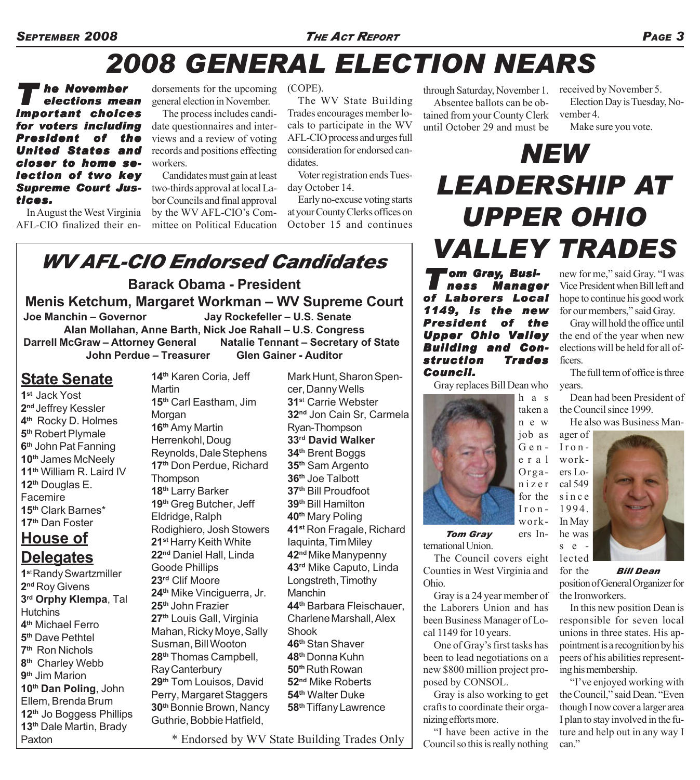## *2008 GENERAL ELECTION NEARS*

*T he November elections mean impor tant choices for voters including President of the United States and closer to home se- closer to home selection of two key Supreme Court Justices.*

In August the West Virginia AFL-CIO finalized their en-

dorsements for the upcoming (COPE). general election in November.

The process includes candidate questionnaires and interviews and a review of voting records and positions effecting workers.

Candidates must gain at least two-thirds approval at local Labor Councils and final approval by the WV AFL-CIO's Committee on Political Education

The WV State Building Trades encourages member locals to participate in the WV AFL-CIO process and urges full consideration for endorsed can**didates** 

Voter registration ends Tuesday October 14.

Early no-excuse voting starts at your County Clerks offices on October 15 and continues

through Saturday, November 1. received by November 5.

Absentee ballots can be obtained from your County Clerk until October 29 and must be

Election Day is Tuesday, November 4.

Make sure you vote.

# *NEW LEADERSHIP AT UPPER OHIO VALLEY TRADES*

'om Gray, Busi-<br>ness Manage *ness Manager of Laborers Local of Laborers Local 1149, is the new President of the Upper Ohio Upper Ohio Valley Building and Con- Building and Construction Trades Council.*

Gray replaces Bill Dean who



ternational Union. *Tom Gray*

The Council covers eight Counties in West Virginia and Ohio.

ers In-

Gray is a 24 year member of the Laborers Union and has been Business Manager of Local 1149 for 10 years.

One of Gray's first tasks has been to lead negotiations on a new \$800 million project proposed by CONSOL.

Gray is also working to get crafts to coordinate their organizing efforts more.

"I have been active in the Council so this is really nothing

new for me," said Gray. "I was Vice President when Bill left and hope to continue his good work for our members," said Gray.

Gray will hold the office until the end of the year when new elections will be held for all officers.

The full term of office is three years.

Dean had been President of the Council since 1999.

He also was Business Man-

ager of Ironworkers Local 549 since 1994. In May he was s  $e$ lected



for the position of General Organizer for the Ironworkers. *Bill Dean*

In this new position Dean is responsible for seven local unions in three states. His appointment is a recognition by his peers of his abilities representing his membership.

"I've enjoyed working with the Council," said Dean. "Even though I now cover a larger area I plan to stay involved in the future and help out in any way I can."

### *WV AFL-CIO Endorsed Candidates*

**Barack Obama - President Menis Ketchum, Margaret Workman – WV Supreme Court Joe Manchin – Governor Jay Rockefeller – U.S. Senate Alan Mollahan, Anne Barth, Nick Joe Rahall – U.S. Congress Darrell McGraw – Attorney General Natalie Tennant – Secretary of State**

**John Perdue – Treasurer Glen Gainer - Auditor**

**14th** Karen Coria, Jeff

**State Senate**

**1st** Jack Yost **2nd** Jeffrey Kessler **4th** Rocky D. Holmes **5th** Robert Plymale **6th** John Pat Fanning **10th** James McNeely **11th** William R. Laird IV **12th** Douglas E. **Facemire 15th** Clark Barnes\* **17th** Dan Foster

### **House of Delegates**

**1s**t Randy Swartzmiller **2nd** Roy Givens **3rd Orphy Klempa**, Tal **Hutchins 4th** Michael Ferro **5th** Dave Pethtel **7th** Ron Nichols **8th** Charley Webb **9th** Jim Marion **10th Dan Poling**, John Ellem, Brenda Brum **12th** Jo Boggess Phillips **13th** Dale Martin, Brady Paxton

Martin **15th** Carl Eastham, Jim Morgan **16th** Amy Martin Herrenkohl, Doug Reynolds, Dale Stephens **17th** Don Perdue, Richard **Thompson 18th** Larry Barker **19th** Greg Butcher, Jeff Eldridge, Ralph Rodighiero, Josh Stowers **21st** Harry Keith White **22nd** Daniel Hall, Linda Goode Phillips **23rd** Clif Moore **24th** Mike Vinciguerra, Jr. **25th** John Frazier **27th** Louis Gall, Virginia Mahan, Ricky Moye, Sally Susman, Bill Wooton **28th** Thomas Campbell, Ray Canterbury **29th** Tom Louisos, David Perry, Margaret Staggers **30th** Bonnie Brown, Nancy Guthrie, Bobbie Hatfield,

Mark Hunt, Sharon Spencer, Danny Wells **31s**<sup>t</sup> Carrie Webster **32nd** Jon Cain Sr, Carmela Ryan-Thompson **33rd David Walker 34th** Brent Boggs **35th** Sam Argento **36th** Joe Talbott **37th** Bill Proudfoot **39th** Bill Hamilton **40th** Mary Poling **41st** Ron Fragale, Richard Iaquinta, Tim Miley **42nd** Mike Manypenny **43rd** Mike Caputo, Linda Longstreth, Timothy Manchin **44th** Barbara Fleischauer, Charlene Marshall, Alex Shook **46th** Stan Shaver **48th** Donna Kuhn **50th** Ruth Rowan **52nd** Mike Roberts **54th** Walter Duke **58th** Tiffany Lawrence

\* Endorsed by WV State Building Trades Only